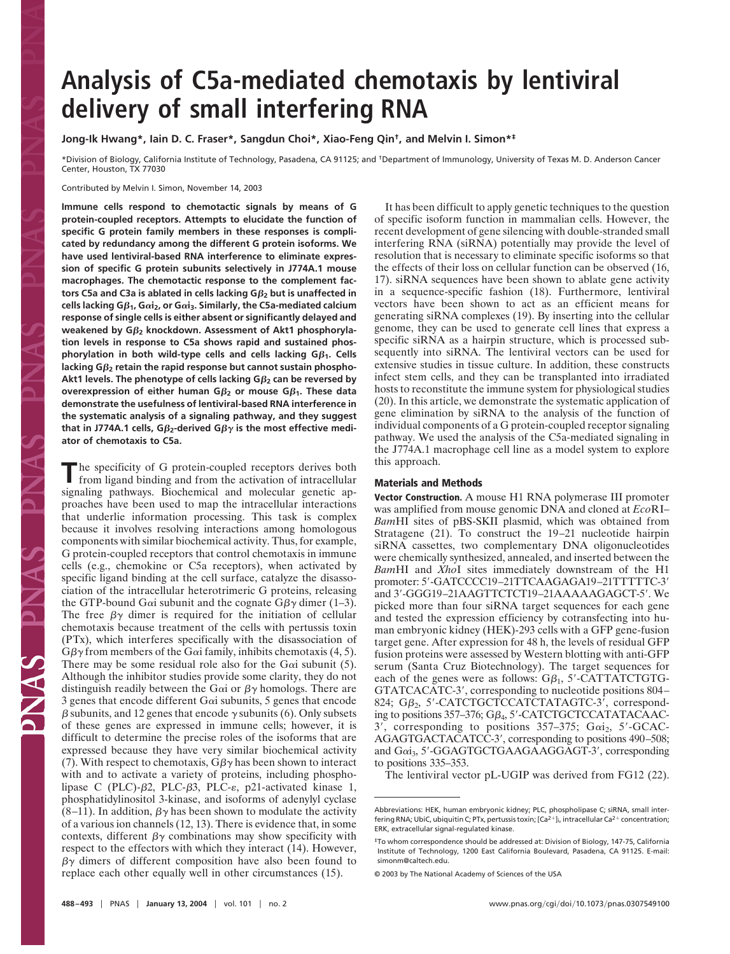# **Analysis of C5a-mediated chemotaxis by lentiviral delivery of small interfering RNA**

**Jong-Ik Hwang\*, Iain D. C. Fraser\*, Sangdun Choi\*, Xiao-Feng Qin†, and Melvin I. Simon\*‡**

\*Division of Biology, California Institute of Technology, Pasadena, CA 91125; and †Department of Immunology, University of Texas M. D. Anderson Cancer Center, Houston, TX 77030

Contributed by Melvin I. Simon, November 14, 2003

**Immune cells respond to chemotactic signals by means of G protein-coupled receptors. Attempts to elucidate the function of specific G protein family members in these responses is complicated by redundancy among the different G protein isoforms. We have used lentiviral-based RNA interference to eliminate expression of specific G protein subunits selectively in J774A.1 mouse macrophages. The chemotactic response to the complement factors C5a and C3a is ablated in cells lacking G2 but is unaffected in cells lacking Gβ<sub>1</sub>, Gαi<sub>2</sub>, or Gαi<sub>3</sub>. Similarly, the C5a-mediated calcium response of single cells is either absent or significantly delayed and weakened by G2 knockdown. Assessment of Akt1 phosphorylation levels in response to C5a shows rapid and sustained phosphorylation in both wild-type cells and cells lacking**  $G\beta_1$ **. Cells lacking G2 retain the rapid response but cannot sustain phospho-Akt1 levels. The phenotype of cells lacking G2 can be reversed by overexpression of either human G** $\beta_2$  **or mouse G** $\beta_1$ **. These data demonstrate the usefulness of lentiviral-based RNA interference in the systematic analysis of a signaling pathway, and they suggest** that in J774A.1 cells, G $\beta_2$ -derived G $\beta_2$  is the most effective medi**ator of chemotaxis to C5a.**

**T**he specificity of G protein-coupled receptors derives both from ligand binding and from the activation of intracellular signaling pathways. Biochemical and molecular genetic approaches have been used to map the intracellular interactions that underlie information processing. This task is complex because it involves resolving interactions among homologous components with similar biochemical activity. Thus, for example, G protein-coupled receptors that control chemotaxis in immune cells (e.g., chemokine or C5a receptors), when activated by specific ligand binding at the cell surface, catalyze the disassociation of the intracellular heterotrimeric G proteins, releasing the GTP-bound G $\alpha$  subunit and the cognate G $\beta\gamma$  dimer (1–3). The free  $\beta\gamma$  dimer is required for the initiation of cellular chemotaxis because treatment of the cells with pertussis toxin (PTx), which interferes specifically with the disassociation of  $G\beta\gamma$  from members of the G $\alpha$  family, inhibits chemotaxis (4, 5). There may be some residual role also for the G $\alpha$  subunit (5). Although the inhibitor studies provide some clarity, they do not distinguish readily between the G $\alpha$ i or  $\beta\gamma$  homologs. There are 3 genes that encode different  $Ga$  subunits, 5 genes that encode  $\beta$  subunits, and 12 genes that encode  $\gamma$  subunits (6). Only subsets of these genes are expressed in immune cells; however, it is difficult to determine the precise roles of the isoforms that are expressed because they have very similar biochemical activity (7). With respect to chemotaxis,  $G\beta\gamma$  has been shown to interact with and to activate a variety of proteins, including phospholipase C (PLC)- $\beta$ 2, PLC- $\beta$ 3, PLC- $\varepsilon$ , p21-activated kinase 1, phosphatidylinositol 3-kinase, and isoforms of adenylyl cyclase  $(8-11)$ . In addition,  $\beta\gamma$  has been shown to modulate the activity of a various ion channels (12, 13). There is evidence that, in some contexts, different  $\beta\gamma$  combinations may show specificity with respect to the effectors with which they interact (14). However,  $\beta\gamma$  dimers of different composition have also been found to replace each other equally well in other circumstances (15).

It has been difficult to apply genetic techniques to the question of specific isoform function in mammalian cells. However, the recent development of gene silencing with double-stranded small interfering RNA (siRNA) potentially may provide the level of resolution that is necessary to eliminate specific isoforms so that the effects of their loss on cellular function can be observed (16, 17). siRNA sequences have been shown to ablate gene activity in a sequence-specific fashion (18). Furthermore, lentiviral vectors have been shown to act as an efficient means for generating siRNA complexes (19). By inserting into the cellular genome, they can be used to generate cell lines that express a specific siRNA as a hairpin structure, which is processed subsequently into siRNA. The lentiviral vectors can be used for extensive studies in tissue culture. In addition, these constructs infect stem cells, and they can be transplanted into irradiated hosts to reconstitute the immune system for physiological studies (20). In this article, we demonstrate the systematic application of gene elimination by siRNA to the analysis of the function of individual components of a G protein-coupled receptor signaling pathway. We used the analysis of the C5a-mediated signaling in the J774A.1 macrophage cell line as a model system to explore this approach.

## **Materials and Methods**

**Vector Construction.** A mouse H1 RNA polymerase III promoter was amplified from mouse genomic DNA and cloned at *Eco*RI– *Bam*HI sites of pBS-SKII plasmid, which was obtained from Stratagene (21). To construct the 19–21 nucleotide hairpin siRNA cassettes, two complementary DNA oligonucleotides were chemically synthesized, annealed, and inserted between the *Bam*HI and *Xho*I sites immediately downstream of the H1 promoter: 5'-GATCCCC19-21TTCAAGAGA19-21TTTTTC-3' and 3'-GGG19-21AAGTTCTCT19-21AAAAAGAGCT-5'. We picked more than four siRNA target sequences for each gene and tested the expression efficiency by cotransfecting into human embryonic kidney (HEK)-293 cells with a GFP gene-fusion target gene. After expression for 48 h, the levels of residual GFP fusion proteins were assessed by Western blotting with anti-GFP serum (Santa Cruz Biotechnology). The target sequences for each of the genes were as follows:  $G\beta_1$ , 5'-CATTATCTGTG-GTATCACATC-3, corresponding to nucleotide positions 804– 824; GB<sub>2</sub>, 5'-CATCTGCTCCATCTATAGTC-3', corresponding to positions  $357-376$ ;  $G\beta_4$ ,  $5'$ -CATCTGCTCCATATACAAC- $3'$ , corresponding to positions  $357-375$ ; Gai<sub>2</sub>,  $5'$ -GCAC-AGAGTGACTACATCC-3', corresponding to positions 490-508; and Gai<sub>3</sub>, 5'-GGAGTGCTGAAGAAGGAGT-3', corresponding to positions 335–353.

The lentiviral vector pL-UGIP was derived from FG12 (22).

Abbreviations: HEK, human embryonic kidney; PLC, phospholipase C; siRNA, small interfering RNA; UbiC, ubiquitin C; PTx, pertussis toxin;  $[Ca^{2+}]_i$ , intracellular Ca<sup>2+</sup> concentration; ERK, extracellular signal-regulated kinase.

<sup>‡</sup>To whom correspondence should be addressed at: Division of Biology, 147-75, California Institute of Technology, 1200 East California Boulevard, Pasadena, CA 91125. E-mail: simonm@caltech.edu.

<sup>© 2003</sup> by The National Academy of Sciences of the USA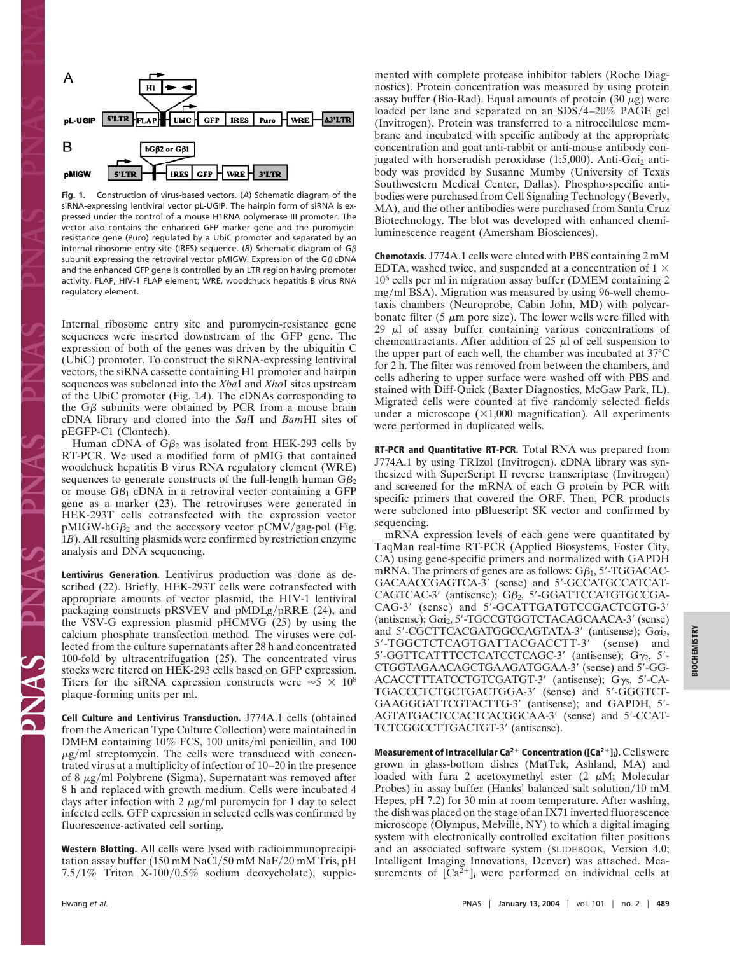

**Fig. 1.** Construction of virus-based vectors. (*A*) Schematic diagram of the siRNA-expressing lentiviral vector pL-UGIP. The hairpin form of siRNA is expressed under the control of a mouse H1RNA polymerase III promoter. The vector also contains the enhanced GFP marker gene and the puromycinresistance gene (Puro) regulated by a UbiC promoter and separated by an internal ribosome entry site (IRES) sequence. ( $B$ ) Schematic diagram of  $G\beta$ subunit expressing the retroviral vector pMIGW. Expression of the G $\beta$  cDNA and the enhanced GFP gene is controlled by an LTR region having promoter activity. FLAP, HIV-1 FLAP element; WRE, woodchuck hepatitis B virus RNA regulatory element.

Internal ribosome entry site and puromycin-resistance gene sequences were inserted downstream of the GFP gene. The expression of both of the genes was driven by the ubiquitin C (UbiC) promoter. To construct the siRNA-expressing lentiviral vectors, the siRNA cassette containing H1 promoter and hairpin sequences was subcloned into the *Xba*I and *Xho*I sites upstream of the UbiC promoter (Fig. 1*A*). The cDNAs corresponding to the  $G\beta$  subunits were obtained by PCR from a mouse brain cDNA library and cloned into the *Sal*I and *Bam*HI sites of pEGFP-C1 (Clontech).

Human cDNA of  $G\beta_2$  was isolated from HEK-293 cells by RT-PCR. We used a modified form of pMIG that contained woodchuck hepatitis B virus RNA regulatory element (WRE) sequences to generate constructs of the full-length human  $G\beta_2$ or mouse  $G\beta_1$  cDNA in a retroviral vector containing a GFP gene as a marker (23). The retroviruses were generated in HEK-293T cells cotransfected with the expression vector  $pMIGW-hG\beta_2$  and the accessory vector  $pCMV/gag-pol$  (Fig. 1*B*). All resulting plasmids were confirmed by restriction enzyme analysis and DNA sequencing.

**Lentivirus Generation.** Lentivirus production was done as described (22). Briefly, HEK-293T cells were cotransfected with appropriate amounts of vector plasmid, the HIV-1 lentiviral packaging constructs pRSVEV and pMDLg/pRRE (24), and the VSV-G expression plasmid pHCMVG (25) by using the calcium phosphate transfection method. The viruses were collected from the culture supernatants after 28 h and concentrated 100-fold by ultracentrifugation (25). The concentrated virus stocks were titered on HEK-293 cells based on GFP expression. Titers for the siRNA expression constructs were  $\approx$  5  $\times$  10<sup>8</sup> plaque-forming units per ml.

**Cell Culture and Lentivirus Transduction.** J774A.1 cells (obtained from the American Type Culture Collection) were maintained in DMEM containing 10% FCS, 100 units/ml penicillin, and 100  $\mu$ g/ml streptomycin. The cells were transduced with concentrated virus at a multiplicity of infection of 10–20 in the presence of 8  $\mu$ g/ml Polybrene (Sigma). Supernatant was removed after 8 h and replaced with growth medium. Cells were incubated 4 days after infection with 2  $\mu$ g/ml puromycin for 1 day to select infected cells. GFP expression in selected cells was confirmed by fluorescence-activated cell sorting.

**Western Blotting.** All cells were lysed with radioimmunoprecipitation assay buffer (150 mM NaCl/50 mM NaF/20 mM Tris, pH  $7.5/1\%$  Triton X-100/0.5% sodium deoxycholate), supplemented with complete protease inhibitor tablets (Roche Diagnostics). Protein concentration was measured by using protein assay buffer (Bio-Rad). Equal amounts of protein  $(30 \mu g)$  were loaded per lane and separated on an SDS/4-20% PAGE gel (Invitrogen). Protein was transferred to a nitrocellulose membrane and incubated with specific antibody at the appropriate concentration and goat anti-rabbit or anti-mouse antibody conjugated with horseradish peroxidase (1:5,000). Anti-G $\alpha i_2$  antibody was provided by Susanne Mumby (University of Texas Southwestern Medical Center, Dallas). Phospho-specific antibodies were purchased from Cell Signaling Technology (Beverly, MA), and the other antibodies were purchased from Santa Cruz Biotechnology. The blot was developed with enhanced chemiluminescence reagent (Amersham Biosciences).

**Chemotaxis.** J774A.1 cells were eluted with PBS containing 2 mM EDTA, washed twice, and suspended at a concentration of  $1 \times$ 10<sup>6</sup> cells per ml in migration assay buffer (DMEM containing 2 mg/ml BSA). Migration was measured by using 96-well chemotaxis chambers (Neuroprobe, Cabin John, MD) with polycarbonate filter (5  $\mu$ m pore size). The lower wells were filled with 29  $\mu$ l of assay buffer containing various concentrations of chemoattractants. After addition of 25  $\mu$ l of cell suspension to the upper part of each well, the chamber was incubated at 37°C for 2 h. The filter was removed from between the chambers, and cells adhering to upper surface were washed off with PBS and stained with Diff-Quick (Baxter Diagnostics, McGaw Park, IL). Migrated cells were counted at five randomly selected fields under a microscope  $(\times1,000$  magnification). All experiments were performed in duplicated wells.

**RT-PCR and Quantitative RT-PCR.** Total RNA was prepared from J774A.1 by using TRIzol (Invitrogen). cDNA library was synthesized with SuperScript II reverse transcriptase (Invitrogen) and screened for the mRNA of each G protein by PCR with specific primers that covered the ORF. Then, PCR products were subcloned into pBluescript SK vector and confirmed by sequencing.

mRNA expression levels of each gene were quantitated by TaqMan real-time RT-PCR (Applied Biosystems, Foster City, CA) using gene-specific primers and normalized with GAPDH mRNA. The primers of genes are as follows:  $G\beta_1$ , 5'-TGGACAC-GACAACCGAGTCA-3' (sense) and 5'-GCCATGCCATCAT- $CAGTCAC-3'$  (antisense);  $G\beta_2$ , 5'-GGATTCCATGTGCCGA-CAG-3' (sense) and 5'-GCATTGATGTCCGACTCGTG-3' (antisense); Gai<sub>2</sub>, 5'-TGCCGTGGTCTACAGCAACA-3' (sense) and 5'-CGCTTCACGATGGCCAGTATA-3' (antisense); Gai<sub>3</sub>, 5'-TGGCTCTCAGTGATTACGACCTT-3' (sense) and 5'-GGTTCATTTCCTCATCCTCAGC-3' (antisense);  $G_{\gamma_2}$ , 5'-CTGGTAGAACAGCTGAAGATGGAA-3' (sense) and 5'-GG-ACACCTTTATCCTGTCGATGT-3' (antisense);  $G_{\gamma_5}$ , 5'-CA-TGACCCTCTGCTGACTGGA-3' (sense) and 5'-GGGTCT-GAAGGGATTCGTACTTG-3' (antisense); and GAPDH, 5'-AGTATGACTCCACTCACGGCAA-3' (sense) and 5'-CCAT-TCTCGGCCTTGACTGT-3' (antisense).

**Measurement of Intracellular Ca<sup>2+</sup> Concentration ([Ca<sup>2+</sup>]<sub>i</sub>). Cells were** grown in glass-bottom dishes (MatTek, Ashland, MA) and loaded with fura 2 acetoxymethyl ester  $(2 \mu M)$ ; Molecular Probes) in assay buffer (Hanks' balanced salt solution/10 mM Hepes, pH 7.2) for 30 min at room temperature. After washing, the dish was placed on the stage of an IX71 inverted fluorescence microscope (Olympus, Melville, NY) to which a digital imaging system with electronically controlled excitation filter positions and an associated software system (SLIDEBOOK, Version 4.0; Intelligent Imaging Innovations, Denver) was attached. Measurements of  $[Ca<sup>2+</sup>]$  were performed on individual cells at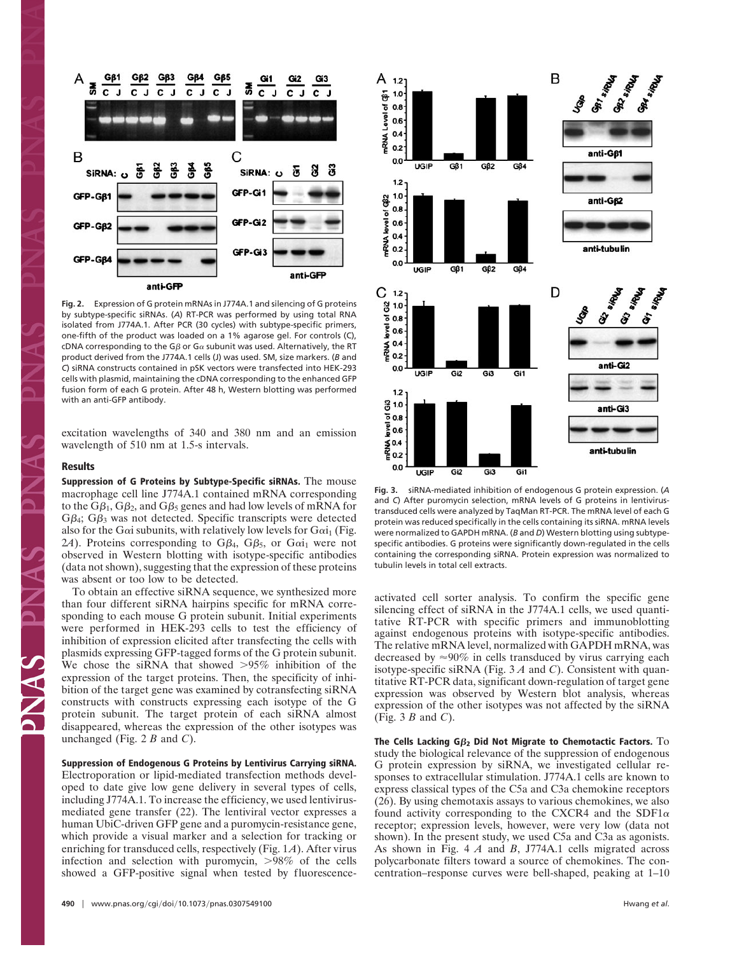

**Fig. 2.** Expression of G protein mRNAs in J774A.1 and silencing of G proteins by subtype-specific siRNAs. (*A*) RT-PCR was performed by using total RNA isolated from J774A.1. After PCR (30 cycles) with subtype-specific primers, one-fifth of the product was loaded on a 1% agarose gel. For controls (C), cDNA corresponding to the G $\beta$  or G $\alpha$  subunit was used. Alternatively, the RT product derived from the J774A.1 cells (J) was used. SM, size markers. (*B* and *C*) siRNA constructs contained in pSK vectors were transfected into HEK-293 cells with plasmid, maintaining the cDNA corresponding to the enhanced GFP fusion form of each G protein. After 48 h, Western blotting was performed with an anti-GFP antibody.

excitation wavelengths of 340 and 380 nm and an emission wavelength of 510 nm at 1.5-s intervals.

### **Results**

**Suppression of G Proteins by Subtype-Specific siRNAs.** The mouse macrophage cell line J774A.1 contained mRNA corresponding to the G $\beta_1,$  G $\beta_2,$  and G $\beta_5$  genes and had low levels of mRNA for  $G\beta_4$ ;  $G\beta_3$  was not detected. Specific transcripts were detected also for the G $\alpha$ i subunits, with relatively low levels for G $\alpha$ i<sub>1</sub> (Fig. 2*A*). Proteins corresponding to  $G\beta_4$ ,  $G\beta_5$ , or  $G\alpha i_1$  were not observed in Western blotting with isotype-specific antibodies (data not shown), suggesting that the expression of these proteins was absent or too low to be detected.

To obtain an effective siRNA sequence, we synthesized more than four different siRNA hairpins specific for mRNA corresponding to each mouse G protein subunit. Initial experiments were performed in HEK-293 cells to test the efficiency of inhibition of expression elicited after transfecting the cells with plasmids expressing GFP-tagged forms of the G protein subunit. We chose the siRNA that showed  $>95\%$  inhibition of the expression of the target proteins. Then, the specificity of inhibition of the target gene was examined by cotransfecting siRNA constructs with constructs expressing each isotype of the G protein subunit. The target protein of each siRNA almost disappeared, whereas the expression of the other isotypes was unchanged (Fig. 2 *B* and *C*).

# **Suppression of Endogenous G Proteins by Lentivirus Carrying siRNA.**

Electroporation or lipid-mediated transfection methods developed to date give low gene delivery in several types of cells, including J774A.1. To increase the efficiency, we used lentivirusmediated gene transfer (22). The lentiviral vector expresses a human UbiC-driven GFP gene and a puromycin-resistance gene, which provide a visual marker and a selection for tracking or enriching for transduced cells, respectively (Fig. 1*A*). After virus infection and selection with puromycin,  $>98\%$  of the cells showed a GFP-positive signal when tested by fluorescence-



**Fig. 3.** siRNA-mediated inhibition of endogenous G protein expression. (*A* and *C*) After puromycin selection, mRNA levels of G proteins in lentivirustransduced cells were analyzed by TaqMan RT-PCR. The mRNA level of each G protein was reduced specifically in the cells containing its siRNA. mRNA levels were normalized to GAPDH mRNA. (*B* and *D*) Western blotting using subtypespecific antibodies. G proteins were significantly down-regulated in the cells containing the corresponding siRNA. Protein expression was normalized to tubulin levels in total cell extracts.

activated cell sorter analysis. To confirm the specific gene silencing effect of siRNA in the J774A.1 cells, we used quantitative RT-PCR with specific primers and immunoblotting against endogenous proteins with isotype-specific antibodies. The relative mRNA level, normalized with GAPDH mRNA, was decreased by  $\approx 90\%$  in cells transduced by virus carrying each isotype-specific siRNA (Fig. 3 *A* and *C*). Consistent with quantitative RT-PCR data, significant down-regulation of target gene expression was observed by Western blot analysis, whereas expression of the other isotypes was not affected by the siRNA (Fig. 3 *B* and *C*).

**The Cells Lacking G<sup>2</sup> Did Not Migrate to Chemotactic Factors.** To study the biological relevance of the suppression of endogenous G protein expression by siRNA, we investigated cellular responses to extracellular stimulation. J774A.1 cells are known to express classical types of the C5a and C3a chemokine receptors (26). By using chemotaxis assays to various chemokines, we also found activity corresponding to the CXCR4 and the SDF1 $\alpha$ receptor; expression levels, however, were very low (data not shown). In the present study, we used C5a and C3a as agonists. As shown in Fig. 4 *A* and *B*, J774A.1 cells migrated across polycarbonate filters toward a source of chemokines. The concentration–response curves were bell-shaped, peaking at 1–10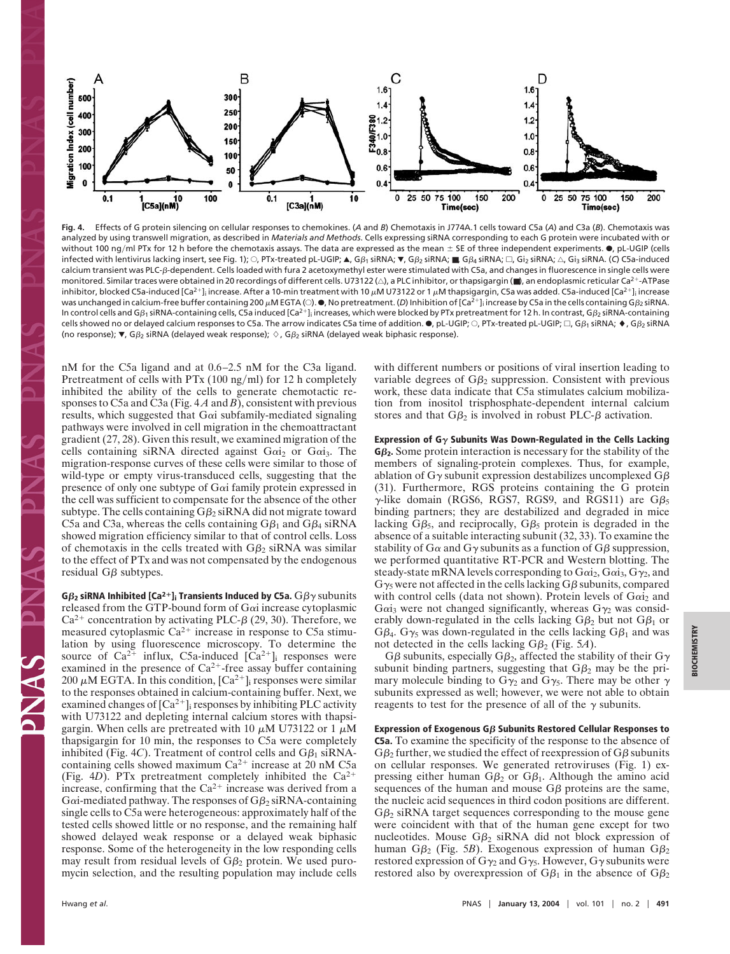

**Fig. 4.** Effects of G protein silencing on cellular responses to chemokines. (*A* and *B*) Chemotaxis in J774A.1 cells toward C5a (*A*) and C3a (*B*). Chemotaxis was analyzed by using transwell migration, as described in *Materials and Methods*. Cells expressing siRNA corresponding to each G protein were incubated with or without 100 ng/ml PTx for 12 h before the chemotaxis assays. The data are expressed as the mean  $\pm$  SE of three independent experiments.  $\bullet$ , pL-UGIP (cells infected with lentivirus lacking insert, see Fig. 1); ○, PTx-treated pL-UGIP; ▲, Gβ1 siRNA; ▼, Gβ2 siRNA; ■, Gβ4 siRNA; □, Gi2 siRNA; △, Gi3 siRNA. (C) C5a-induced calcium transient was PLC-ß-dependent. Cells loaded with fura 2 acetoxymethyl ester were stimulated with C5a, and changes in fluorescence in single cells were monitored. Similar traces were obtained in 20 recordings of different cells. U73122 ( $\triangle$ ), a PLC inhibitor, or thapsigargin (■), an endoplasmic reticular Ca<sup>2+</sup>-ATPase inhibitor, blocked C5a-induced [Ca<sup>2+</sup>]<sub>i</sub> increase. After a 10-min treatment with 10 µM U73122 or 1 µM thapsigargin, C5a was added. C5a-induced [Ca<sup>2+</sup>]<sub>i</sub> increase was unchanged in calcium-free buffer containing 200  $\mu$ M EGTA (〇).  $\bullet$ , No pretreatment. (*D*) Inhibition of [Ca<sup>2+</sup>]; increase by C5a in the cells containing G $\beta_2$  siRNA. In control cells and Gß1 siRNA-containing cells, C5a induced [Ca<sup>2+</sup>]<sub>i</sub> increases, which were blocked by PTx pretreatment for 12 h. In contrast, Gß2 siRNA-containing cells showed no or delayed calcium responses to C5a. The arrow indicates C5a time of addition.  $\bullet$ , pL-UGIP;  $\circ$ , PTx-treated pL-UGIP;  $\Box$ , G $\beta_1$  siRNA;  $\bullet$ , G $\beta_2$  siRNA (no response);  $\nabla$ , G $\beta_2$  siRNA (delayed weak response);  $\Diamond$ , G $\beta_2$  siRNA (delayed weak biphasic response).

nM for the C5a ligand and at 0.6–2.5 nM for the C3a ligand. Pretreatment of cells with  $PTx(100 mg/ml)$  for 12 h completely inhibited the ability of the cells to generate chemotactic responses to C5a and C3a (Fig. 4 *A* and *B*), consistent with previous results, which suggested that  $Ga$  subfamily-mediated signaling pathways were involved in cell migration in the chemoattractant gradient (27, 28). Given this result, we examined migration of the cells containing siRNA directed against  $Gai<sub>2</sub>$  or  $Gai<sub>3</sub>$ . The migration-response curves of these cells were similar to those of wild-type or empty virus-transduced cells, suggesting that the presence of only one subtype of G $\alpha$ i family protein expressed in the cell was sufficient to compensate for the absence of the other subtype. The cells containing  $G\beta_2$  siRNA did not migrate toward C5a and C3a, whereas the cells containing  $G\beta_1$  and  $G\beta_4$  siRNA showed migration efficiency similar to that of control cells. Loss of chemotaxis in the cells treated with  $G\beta_2$  siRNA was similar to the effect of PTx and was not compensated by the endogenous residual  $G\beta$  subtypes.

**G** $\beta_2$  siRNA Inhibited [Ca<sup>2+</sup>]; Transients Induced by C5a.  $G\beta\gamma$  subunits released from the GTP-bound form of G $\alpha$  increase cytoplasmic Ca<sup>2+</sup> concentration by activating PLC- $\beta$  (29, 30). Therefore, we measured cytoplasmic  $Ca^{2+}$  increase in response to C5a stimulation by using fluorescence microscopy. To determine the source of  $Ca^{2+}$  influx, C5a-induced  $[Ca^{2+}]_i$  responses were examined in the presence of  $Ca^{2+}$ -free assay buffer containing 200  $\mu$ M EGTA. In this condition,  $\lbrack Ca^{2+}\rbrack _i$  responses were similar to the responses obtained in calcium-containing buffer. Next, we examined changes of  $[Ca^{2+}]_i$  responses by inhibiting PLC activity with U73122 and depleting internal calcium stores with thapsigargin. When cells are pretreated with 10  $\mu$ M U73122 or 1  $\mu$ M thapsigargin for 10 min, the responses to C5a were completely inhibited (Fig. 4C). Treatment of control cells and  $G\beta_1$  siRNAcontaining cells showed maximum  $Ca^{2+}$  increase at 20 nM C5a (Fig. 4*D*). PTx pretreatment completely inhibited the Ca2 increase, confirming that the  $Ca^{2+}$  increase was derived from a G $\alpha$ i-mediated pathway. The responses of G $\beta_2$  siRNA-containing single cells to C5a were heterogeneous: approximately half of the tested cells showed little or no response, and the remaining half showed delayed weak response or a delayed weak biphasic response. Some of the heterogeneity in the low responding cells may result from residual levels of  $G\beta_2$  protein. We used puromycin selection, and the resulting population may include cells

with different numbers or positions of viral insertion leading to variable degrees of  $G\beta_2$  suppression. Consistent with previous work, these data indicate that C5a stimulates calcium mobilization from inositol trisphosphate-dependent internal calcium stores and that  $G\beta_2$  is involved in robust PLC- $\beta$  activation.

#### **Expression of G** $\gamma$  **Subunits Was Down-Regulated in the Cells Lacking**

**G2.** Some protein interaction is necessary for the stability of the members of signaling-protein complexes. Thus, for example, ablation of G $\gamma$  subunit expression destabilizes uncomplexed G $\beta$ (31). Furthermore, RGS proteins containing the G protein  $\gamma$ -like domain (RGS6, RGS7, RGS9, and RGS11) are G $\beta_5$ binding partners; they are destabilized and degraded in mice lacking  $G\beta_5$ , and reciprocally,  $G\beta_5$  protein is degraded in the absence of a suitable interacting subunit (32, 33). To examine the stability of G $\alpha$  and G $\gamma$  subunits as a function of G $\beta$  suppression, we performed quantitative RT-PCR and Western blotting. The steady-state mRNA levels corresponding to  $Gai<sub>2</sub>, Gai<sub>3</sub>, G<sub>2</sub>$ , and  $G_{\gamma_5}$  were not affected in the cells lacking  $G\beta$  subunits, compared with control cells (data not shown). Protein levels of  $Gai<sub>2</sub>$  and Gai<sub>3</sub> were not changed significantly, whereas  $G_{\gamma_2}$  was considerably down-regulated in the cells lacking  $G\beta_2$  but not  $G\beta_1$  or G $\beta_4$ . G $\gamma_5$  was down-regulated in the cells lacking G $\beta_1$  and was not detected in the cells lacking  $G\beta_2$  (Fig. 5*A*).

G $\beta$  subunits, especially G $\beta_2$ , affected the stability of their G $\gamma$ subunit binding partners, suggesting that  $G\beta_2$  may be the primary molecule binding to  $G_{\gamma_2}$  and  $G_{\gamma_5}$ . There may be other  $\gamma$ subunits expressed as well; however, we were not able to obtain reagents to test for the presence of all of the  $\gamma$  subunits.

**Expression of Exogenous Gβ Subunits Restored Cellular Responses to C5a.** To examine the specificity of the response to the absence of  $G\beta_2$  further, we studied the effect of reexpression of  $G\beta$  subunits on cellular responses. We generated retroviruses (Fig. 1) expressing either human  $G\beta_2$  or  $G\beta_1$ . Although the amino acid sequences of the human and mouse  $G\beta$  proteins are the same, the nucleic acid sequences in third codon positions are different.  $G\beta_2$  siRNA target sequences corresponding to the mouse gene were coincident with that of the human gene except for two nucleotides. Mouse  $G\beta_2$  siRNA did not block expression of human G $\beta_2$  (Fig. 5*B*). Exogenous expression of human G $\beta_2$ restored expression of  $G_{\gamma_2}$  and  $G_{\gamma_5}$ . However,  $G_{\gamma}$  subunits were restored also by overexpression of  $G\beta_1$  in the absence of  $G\beta_2$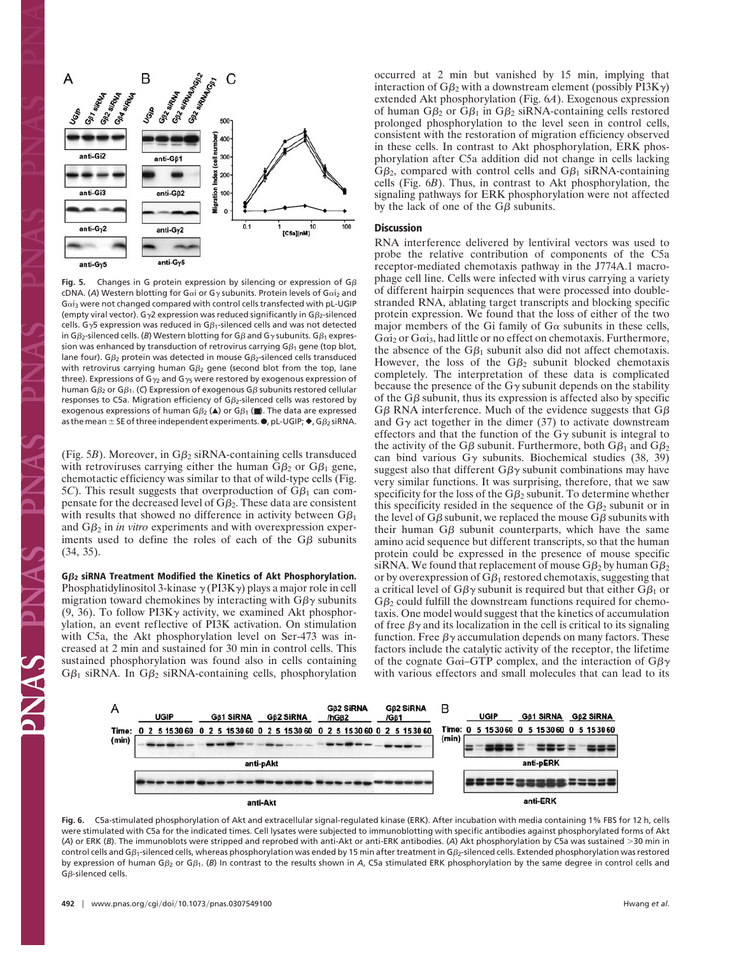

**Fig. 5.** Changes in G protein expression by silencing or expression of  $G\beta$ cDNA. (A) Western blotting for Gαi or Gy subunits. Protein levels of Gαi<sub>2</sub> and  $Ga$ <sub>i3</sub> were not changed compared with control cells transfected with pL-UGIP (empty viral vector). G $\gamma$ 2 expression was reduced significantly in G $\beta_2$ -silenced cells. G $\gamma$ 5 expression was reduced in G $\beta_1$ -silenced cells and was not detected in G $\beta$ <sub>2</sub>-silenced cells. (*B*) Western blotting for G $\beta$  and G $\gamma$  subunits. G $\beta$ <sub>1</sub> expression was enhanced by transduction of retrovirus carrying G $\beta_1$  gene (top blot, lane four). G $\beta_2$  protein was detected in mouse G $\beta_2$ -silenced cells transduced with retrovirus carrying human G $\beta_2$  gene (second blot from the top, lane three). Expressions of G<sub> $\gamma$ 2</sub> and G<sub> $\gamma$ 5</sub> were restored by exogenous expression of human G $\beta_2$  or G $\beta_1$ . (C) Expression of exogenous G $\beta$  subunits restored cellular responses to C5a. Migration efficiency of G $\beta_2$ -silenced cells was restored by exogenous expressions of human G $\beta_2$  (A) or G $\beta_1$  ( $\blacksquare$ ). The data are expressed as the mean  $\pm$  SE of three independent experiments.  $\bullet$ , pL-UGIP;  $\bullet$ , G $\beta_2$  siRNA.

(Fig. 5*B*). Moreover, in  $G\beta_2$  siRNA-containing cells transduced with retroviruses carrying either the human  $G\beta_2$  or  $G\beta_1$  gene, chemotactic efficiency was similar to that of wild-type cells (Fig.  $5C$ ). This result suggests that overproduction of  $G\beta_1$  can compensate for the decreased level of  $G\beta_2$ . These data are consistent with results that showed no difference in activity between  $G\beta_1$ and  $G\beta_2$  in *in vitro* experiments and with overexpression experiments used to define the roles of each of the  $G\beta$  subunits (34, 35).

**G2 siRNA Treatment Modified the Kinetics of Akt Phosphorylation.** Phosphatidylinositol 3-kinase  $\gamma$  (PI3K $\gamma$ ) plays a major role in cell migration toward chemokines by interacting with  $G\beta\gamma$  subunits (9, 36). To follow PI3K $\gamma$  activity, we examined Akt phosphorylation, an event reflective of PI3K activation. On stimulation with C5a, the Akt phosphorylation level on Ser-473 was increased at 2 min and sustained for 30 min in control cells. This sustained phosphorylation was found also in cells containing  $G\beta_1$  siRNA. In  $G\beta_2$  siRNA-containing cells, phosphorylation

occurred at 2 min but vanished by 15 min, implying that interaction of G $\beta_2$  with a downstream element (possibly PI3K $\gamma$ ) extended Akt phosphorylation (Fig. 6*A*). Exogenous expression of human  $G\beta_2$  or  $G\beta_1$  in  $G\beta_2$  siRNA-containing cells restored prolonged phosphorylation to the level seen in control cells, consistent with the restoration of migration efficiency observed in these cells. In contrast to Akt phosphorylation, ERK phosphorylation after C5a addition did not change in cells lacking  $G\beta_2$ , compared with control cells and  $G\beta_1$  siRNA-containing cells (Fig. 6*B*). Thus, in contrast to Akt phosphorylation, the signaling pathways for ERK phosphorylation were not affected by the lack of one of the  $G\beta$  subunits.

## **Discussion**

RNA interference delivered by lentiviral vectors was used to probe the relative contribution of components of the C5a receptor-mediated chemotaxis pathway in the J774A.1 macrophage cell line. Cells were infected with virus carrying a variety of different hairpin sequences that were processed into doublestranded RNA, ablating target transcripts and blocking specific protein expression. We found that the loss of either of the two major members of the Gi family of  $G\alpha$  subunits in these cells,  $Gai<sub>2</sub>$  or  $Gai<sub>3</sub>$ , had little or no effect on chemotaxis. Furthermore, the absence of the  $G\beta_1$  subunit also did not affect chemotaxis. However, the loss of the  $G\beta_2$  subunit blocked chemotaxis completely. The interpretation of these data is complicated because the presence of the  $G\gamma$  subunit depends on the stability of the  $G\beta$  subunit, thus its expression is affected also by specific  $G\beta$  RNA interference. Much of the evidence suggests that  $G\beta$ and  $G\gamma$  act together in the dimer (37) to activate downstream effectors and that the function of the  $G\gamma$  subunit is integral to the activity of the G $\beta$  subunit. Furthermore, both G $\beta_1$  and G $\beta_2$ can bind various  $G\gamma$  subunits. Biochemical studies (38, 39) suggest also that different  $G\beta\gamma$  subunit combinations may have very similar functions. It was surprising, therefore, that we saw specificity for the loss of the  $G\beta_2$  subunit. To determine whether this specificity resided in the sequence of the  $G\beta_2$  subunit or in the level of G $\beta$  subunit, we replaced the mouse G $\beta$  subunits with their human  $G\beta$  subunit counterparts, which have the same amino acid sequence but different transcripts, so that the human protein could be expressed in the presence of mouse specific siRNA. We found that replacement of mouse  $G \beta_2$  by human  $G \beta_2$ or by overexpression of  $G\beta_1$  restored chemotaxis, suggesting that a critical level of G $\beta\gamma$  subunit is required but that either G $\beta_1$  or  $G_{\beta_2}$  could fulfill the downstream functions required for chemotaxis. One model would suggest that the kinetics of accumulation of free  $\beta\gamma$  and its localization in the cell is critical to its signaling function. Free  $\beta\gamma$  accumulation depends on many factors. These factors include the catalytic activity of the receptor, the lifetime of the cognate G $\alpha$ i–GTP complex, and the interaction of G $\beta\gamma$ with various effectors and small molecules that can lead to its



**Fig. 6.** C5a-stimulated phosphorylation of Akt and extracellular signal-regulated kinase (ERK). After incubation with media containing 1% FBS for 12 h, cells were stimulated with C5a for the indicated times. Cell lysates were subjected to immunoblotting with specific antibodies against phosphorylated forms of Akt (*A*) or ERK (*B*). The immunoblots were stripped and reprobed with anti-Akt or anti-ERK antibodies. (*A*) Akt phosphorylation by C5a was sustained 30 min in control cells and G $\beta_1$ -silenced cells, whereas phosphorylation was ended by 15 min after treatment in G $\beta_2$ -silenced cells. Extended phosphorylation was restored by expression of human Gß<sub>2</sub> or Gß<sub>1</sub>. (B) In contrast to the results shown in A, C5a stimulated ERK phosphorylation by the same degree in control cells and  $G\beta$ -silenced cells.